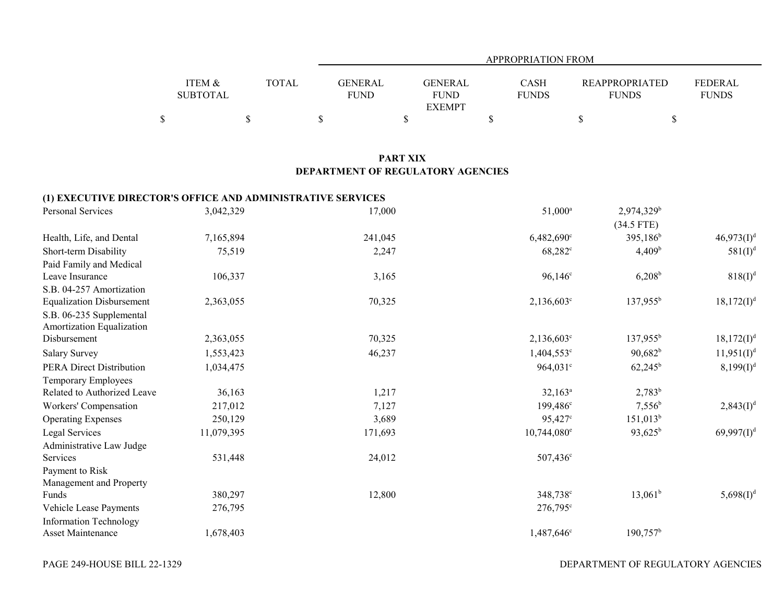|                 |              |                | <b>APPROPRIATION FROM</b> |              |                       |                |  |  |  |  |  |  |
|-----------------|--------------|----------------|---------------------------|--------------|-----------------------|----------------|--|--|--|--|--|--|
|                 |              |                |                           |              |                       |                |  |  |  |  |  |  |
| ITEM &          | <b>TOTAL</b> | <b>GENERAL</b> | <b>GENERAL</b>            | <b>CASH</b>  | <b>REAPPROPRIATED</b> | <b>FEDERAL</b> |  |  |  |  |  |  |
| <b>SUBTOTAL</b> |              | <b>FUND</b>    | <b>FUND</b>               | <b>FUNDS</b> | <b>FUNDS</b>          | <b>FUNDS</b>   |  |  |  |  |  |  |
|                 |              |                | <b>EXEMPT</b>             |              |                       |                |  |  |  |  |  |  |
|                 |              |                |                           |              |                       |                |  |  |  |  |  |  |

## **PART XIX DEPARTMENT OF REGULATORY AGENCIES**

## **(1) EXECUTIVE DIRECTOR'S OFFICE AND ADMINISTRATIVE SERVICES**

| Personal Services                | 3,042,329  | 17,000  | $51,000^a$             | 2,974,329 <sup>b</sup> |                        |
|----------------------------------|------------|---------|------------------------|------------------------|------------------------|
|                                  |            |         |                        | $(34.5$ FTE)           |                        |
| Health, Life, and Dental         | 7,165,894  | 241,045 | 6,482,690°             | 395,186 <sup>b</sup>   | 46,973(1) <sup>d</sup> |
| Short-term Disability            | 75,519     | 2,247   | $68,282^{\circ}$       | 4,409 <sup>b</sup>     | $581(I)^{d}$           |
| Paid Family and Medical          |            |         |                        |                        |                        |
| Leave Insurance                  | 106,337    | 3,165   | $96,146^{\circ}$       | $6,208^b$              | $818(I)^{d}$           |
| S.B. 04-257 Amortization         |            |         |                        |                        |                        |
| <b>Equalization Disbursement</b> | 2,363,055  | 70,325  | $2,136,603^{\circ}$    | $137,955^{\rm b}$      | $18,172(I)^d$          |
| S.B. 06-235 Supplemental         |            |         |                        |                        |                        |
| Amortization Equalization        |            |         |                        |                        |                        |
| Disbursement                     | 2,363,055  | 70,325  | $2,136,603^{\circ}$    | $137,955^{\rm b}$      | $18,172(I)^d$          |
| <b>Salary Survey</b>             | 1,553,423  | 46,237  | $1,404,553$ °          | $90,682^b$             | $11,951(I)^d$          |
| <b>PERA Direct Distribution</b>  | 1,034,475  |         | $964,031^{\circ}$      | $62,245^{\rm b}$       | $8,199(I)^d$           |
| Temporary Employees              |            |         |                        |                        |                        |
| Related to Authorized Leave      | 36,163     | 1,217   | $32,163^a$             | $2,783^b$              |                        |
| Workers' Compensation            | 217,012    | 7,127   | 199,486 <sup>c</sup>   | $7,556^b$              | $2,843(I)^d$           |
| <b>Operating Expenses</b>        | 250,129    | 3,689   | $95,427^{\circ}$       | $151,013^b$            |                        |
| Legal Services                   | 11,079,395 | 171,693 | $10,744,080^{\circ}$   | $93,625^b$             | $69,997(1)^d$          |
| Administrative Law Judge         |            |         |                        |                        |                        |
| Services                         | 531,448    | 24,012  | 507,436 <sup>c</sup>   |                        |                        |
| Payment to Risk                  |            |         |                        |                        |                        |
| Management and Property          |            |         |                        |                        |                        |
| Funds                            | 380,297    | 12,800  | 348,738 <sup>c</sup>   | $13,061^b$             | $5,698(I)^d$           |
| Vehicle Lease Payments           | 276,795    |         | $276,795^{\circ}$      |                        |                        |
| <b>Information Technology</b>    |            |         |                        |                        |                        |
| <b>Asset Maintenance</b>         | 1,678,403  |         | 1,487,646 <sup>c</sup> | $190,757^{\rm b}$      |                        |

DEPARTMENT OF REGULATORY AGENCIES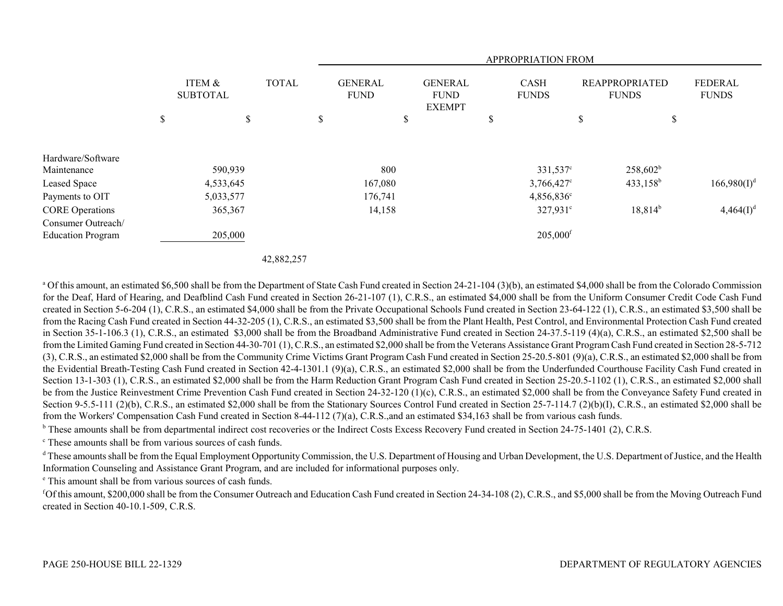|                          |                                           |          |   | <b>APPROPRIATION FROM</b>     |    |                                                |    |                        |                                       |              |                                |
|--------------------------|-------------------------------------------|----------|---|-------------------------------|----|------------------------------------------------|----|------------------------|---------------------------------------|--------------|--------------------------------|
|                          | <b>TOTAL</b><br>ITEM &<br><b>SUBTOTAL</b> |          |   | <b>GENERAL</b><br><b>FUND</b> |    | <b>GENERAL</b><br><b>FUND</b><br><b>EXEMPT</b> |    | CASH<br><b>FUNDS</b>   | <b>REAPPROPRIATED</b><br><b>FUNDS</b> |              | <b>FEDERAL</b><br><b>FUNDS</b> |
|                          | \$<br>\$                                  |          | D |                               | \$ |                                                | \$ |                        | D                                     | \$           |                                |
| Hardware/Software        |                                           |          |   |                               |    |                                                |    |                        |                                       |              |                                |
| Maintenance              | 590,939                                   |          |   | 800                           |    |                                                |    | 331,537°               |                                       | $258,602^b$  |                                |
| Leased Space             | 4,533,645                                 |          |   | 167,080                       |    |                                                |    | $3,766,427^{\circ}$    |                                       | $433,158^b$  | $166,980(I)^d$                 |
| Payments to OIT          | 5,033,577                                 |          |   | 176,741                       |    |                                                |    | $4,856,836^{\circ}$    |                                       |              |                                |
| <b>CORE Operations</b>   | 365,367                                   |          |   | 14,158                        |    |                                                |    | $327,931^{\circ}$      |                                       | $18,814^{b}$ | $4,464(I)^{d}$                 |
| Consumer Outreach/       |                                           |          |   |                               |    |                                                |    |                        |                                       |              |                                |
| <b>Education Program</b> | 205,000                                   |          |   |                               |    |                                                |    | $205,000$ <sup>f</sup> |                                       |              |                                |
|                          |                                           | 10.00007 |   |                               |    |                                                |    |                        |                                       |              |                                |

42,882,257

<sup>a</sup> Of this amount, an estimated \$6,500 shall be from the Department of State Cash Fund created in Section 24-21-104 (3)(b), an estimated \$4,000 shall be from the Colorado Commission for the Deaf, Hard of Hearing, and Deafblind Cash Fund created in Section 26-21-107 (1), C.R.S., an estimated \$4,000 shall be from the Uniform Consumer Credit Code Cash Fund created in Section 5-6-204 (1), C.R.S., an estimated \$4,000 shall be from the Private Occupational Schools Fund created in Section 23-64-122 (1), C.R.S., an estimated \$3,500 shall be from the Racing Cash Fund created in Section 44-32-205 (1), C.R.S., an estimated \$3,500 shall be from the Plant Health, Pest Control, and Environmental Protection Cash Fund created in Section 35-1-106.3 (1), C.R.S., an estimated \$3,000 shall be from the Broadband Administrative Fund created in Section 24-37.5-119 (4)(a), C.R.S., an estimated \$2,500 shall be from the Limited Gaming Fund created in Section 44-30-701 (1), C.R.S., an estimated \$2,000 shall be from the Veterans Assistance Grant Program Cash Fund created in Section 28-5-712 (3), C.R.S., an estimated \$2,000 shall be from the Community Crime Victims Grant Program Cash Fund created in Section 25-20.5-801 (9)(a), C.R.S., an estimated \$2,000 shall be from the Evidential Breath-Testing Cash Fund created in Section 42-4-1301.1 (9)(a), C.R.S., an estimated \$2,000 shall be from the Underfunded Courthouse Facility Cash Fund created in Section 13-1-303 (1), C.R.S., an estimated \$2,000 shall be from the Harm Reduction Grant Program Cash Fund created in Section 25-20.5-1102 (1), C.R.S., an estimated \$2,000 shall be from the Justice Reinvestment Crime Prevention Cash Fund created in Section 24-32-120 (1)(c), C.R.S., an estimated \$2,000 shall be from the Conveyance Safety Fund created in Section 9-5.5-111 (2)(b), C.R.S., an estimated \$2,000 shall be from the Stationary Sources Control Fund created in Section 25-7-114.7 (2)(b)(I), C.R.S., an estimated \$2,000 shall be from the Workers' Compensation Cash Fund created in Section 8-44-112 (7)(a), C.R.S.,and an estimated \$34,163 shall be from various cash funds.

b These amounts shall be from departmental indirect cost recoveries or the Indirect Costs Excess Recovery Fund created in Section 24-75-1401 (2), C.R.S.

c These amounts shall be from various sources of cash funds.

<sup>d</sup> These amounts shall be from the Equal Employment Opportunity Commission, the U.S. Department of Housing and Urban Development, the U.S. Department of Justice, and the Health Information Counseling and Assistance Grant Program, and are included for informational purposes only.

e This amount shall be from various sources of cash funds.

f Of this amount, \$200,000 shall be from the Consumer Outreach and Education Cash Fund created in Section 24-34-108 (2), C.R.S., and \$5,000 shall be from the Moving Outreach Fund created in Section 40-10.1-509, C.R.S.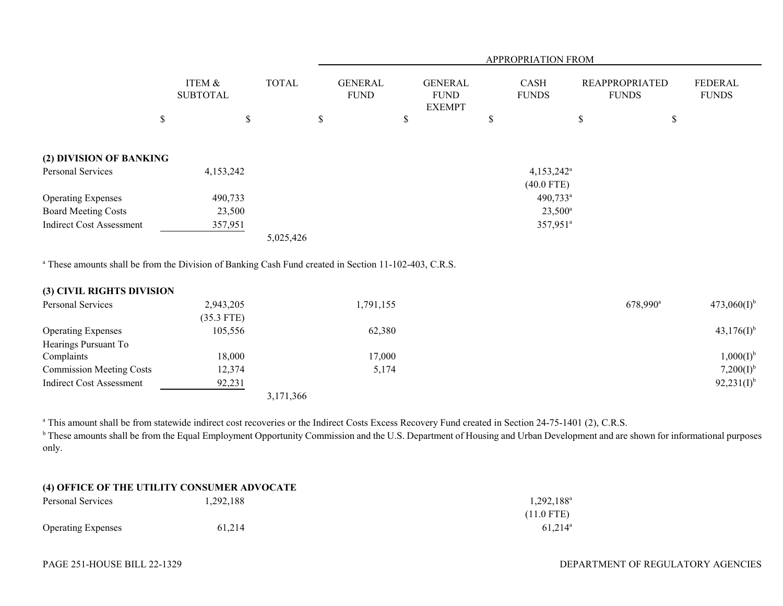|                                 |                           |              | APPROPRIATION FROM            |                                                |                             |                                       |                                |  |  |  |
|---------------------------------|---------------------------|--------------|-------------------------------|------------------------------------------------|-----------------------------|---------------------------------------|--------------------------------|--|--|--|
|                                 | ITEM &<br><b>SUBTOTAL</b> | <b>TOTAL</b> | <b>GENERAL</b><br><b>FUND</b> | <b>GENERAL</b><br><b>FUND</b><br><b>EXEMPT</b> | <b>CASH</b><br><b>FUNDS</b> | <b>REAPPROPRIATED</b><br><b>FUNDS</b> | <b>FEDERAL</b><br><b>FUNDS</b> |  |  |  |
|                                 | \$<br>\$                  |              | \$                            | \$                                             | \$                          | \$                                    | \$                             |  |  |  |
| (2) DIVISION OF BANKING         |                           |              |                               |                                                |                             |                                       |                                |  |  |  |
| Personal Services               | 4,153,242                 |              |                               |                                                | $4,153,242^{\circ}$         |                                       |                                |  |  |  |
|                                 |                           |              |                               |                                                | $(40.0$ FTE)                |                                       |                                |  |  |  |
| <b>Operating Expenses</b>       | 490,733                   |              |                               |                                                | $490,733^{\circ}$           |                                       |                                |  |  |  |
| <b>Board Meeting Costs</b>      | 23,500                    |              |                               |                                                | $23,500^{\circ}$            |                                       |                                |  |  |  |
| <b>Indirect Cost Assessment</b> | 357,951                   |              |                               |                                                | 357,951 <sup>a</sup>        |                                       |                                |  |  |  |
|                                 |                           | 5,025,426    |                               |                                                |                             |                                       |                                |  |  |  |

<sup>a</sup> These amounts shall be from the Division of Banking Cash Fund created in Section 11-102-403, C.R.S.

| (3) CIVIL RIGHTS DIVISION       |              |           |                      |                  |
|---------------------------------|--------------|-----------|----------------------|------------------|
| Personal Services               | 2,943,205    | 1,791,155 | 678,990 <sup>a</sup> | $473,060(I)^{b}$ |
|                                 | $(35.3$ FTE) |           |                      |                  |
| <b>Operating Expenses</b>       | 105,556      | 62,380    |                      | $43,176(I)^{b}$  |
| Hearings Pursuant To            |              |           |                      |                  |
| Complaints                      | 18.000       | 17,000    |                      | $1,000(I)^{b}$   |
| <b>Commission Meeting Costs</b> | 12,374       | 5,174     |                      | $7,200(I)^{b}$   |
| <b>Indirect Cost Assessment</b> | 92,231       |           |                      | $92,231(I)^{b}$  |
|                                 |              | 3,171,366 |                      |                  |

<sup>a</sup> This amount shall be from statewide indirect cost recoveries or the Indirect Costs Excess Recovery Fund created in Section 24-75-1401 (2), C.R.S.

<sup>b</sup> These amounts shall be from the Equal Employment Opportunity Commission and the U.S. Department of Housing and Urban Development and are shown for informational purposes only.

| (4) OFFICE OF THE UTILITY CONSUMER ADVOCATE |  |  |  |  |
|---------------------------------------------|--|--|--|--|
|---------------------------------------------|--|--|--|--|

| Personal Services  | 1,292,188 | $1,292,188^{\rm a}$ |
|--------------------|-----------|---------------------|
|                    |           | $(11.0$ FTE)        |
| Operating Expenses | 61,214    | $61.214^{\circ}$    |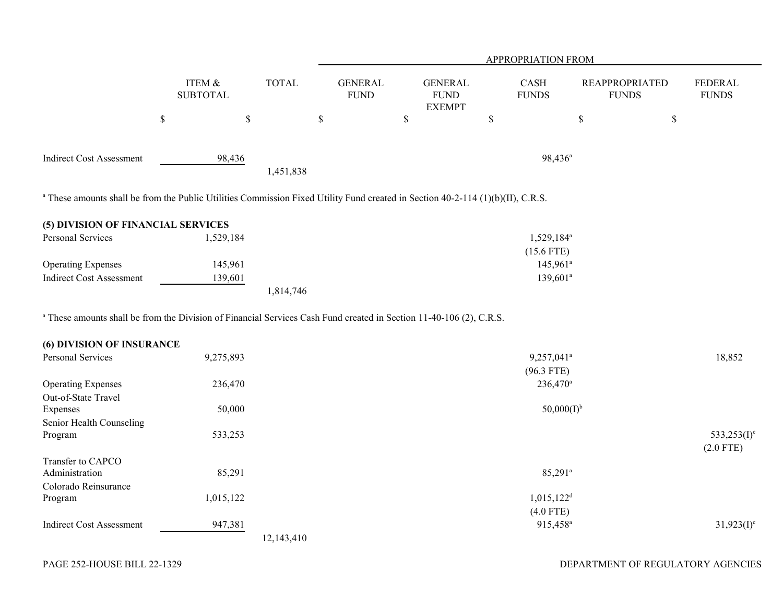|                                                                                                                                                                                  |                              |              |                               |                                                | APPROPRIATION FROM                     |                                       |                                |
|----------------------------------------------------------------------------------------------------------------------------------------------------------------------------------|------------------------------|--------------|-------------------------------|------------------------------------------------|----------------------------------------|---------------------------------------|--------------------------------|
|                                                                                                                                                                                  | ITEM $\&$<br><b>SUBTOTAL</b> | <b>TOTAL</b> | <b>GENERAL</b><br><b>FUND</b> | <b>GENERAL</b><br><b>FUND</b><br><b>EXEMPT</b> | CASH<br><b>FUNDS</b>                   | <b>REAPPROPRIATED</b><br><b>FUNDS</b> | <b>FEDERAL</b><br><b>FUNDS</b> |
|                                                                                                                                                                                  | $\mathbb S$<br>$\mathcal{S}$ |              | $\$$                          | $\$$                                           | \$                                     | $\mathbb S$<br>$\$$                   |                                |
| <b>Indirect Cost Assessment</b>                                                                                                                                                  | 98,436                       | 1,451,838    |                               |                                                | 98,436 <sup>a</sup>                    |                                       |                                |
| <sup>a</sup> These amounts shall be from the Public Utilities Commission Fixed Utility Fund created in Section 40-2-114 (1)(b)(II), C.R.S.                                       |                              |              |                               |                                                |                                        |                                       |                                |
| (5) DIVISION OF FINANCIAL SERVICES                                                                                                                                               |                              |              |                               |                                                |                                        |                                       |                                |
| Personal Services                                                                                                                                                                | 1,529,184                    |              |                               |                                                | 1,529,184 <sup>a</sup><br>$(15.6$ FTE) |                                       |                                |
| <b>Operating Expenses</b>                                                                                                                                                        | 145,961                      |              |                               |                                                | $145,961^a$                            |                                       |                                |
| <b>Indirect Cost Assessment</b>                                                                                                                                                  | 139,601                      | 1,814,746    |                               |                                                | $139,601^a$                            |                                       |                                |
| <sup>a</sup> These amounts shall be from the Division of Financial Services Cash Fund created in Section 11-40-106 (2), C.R.S.<br>(6) DIVISION OF INSURANCE<br>Personal Services | 9,275,893                    |              |                               |                                                | 9,257,041 <sup>a</sup><br>$(96.3$ FTE) |                                       | 18,852                         |
| <b>Operating Expenses</b><br>Out-of-State Travel                                                                                                                                 | 236,470                      |              |                               |                                                | 236,470 <sup>a</sup>                   |                                       |                                |
| Expenses<br>Senior Health Counseling                                                                                                                                             | 50,000                       |              |                               |                                                | $50,000(I)^{b}$                        |                                       |                                |
| Program                                                                                                                                                                          | 533,253                      |              |                               |                                                |                                        |                                       | 533,253 $(I)^c$<br>$(2.0$ FTE) |
| Transfer to CAPCO<br>Administration<br>Colorado Reinsurance                                                                                                                      | 85,291                       |              |                               |                                                | $85,291^{\circ}$                       |                                       |                                |
| Program                                                                                                                                                                          | 1,015,122                    |              |                               |                                                | $1,015,122$ <sup>d</sup>               |                                       |                                |
|                                                                                                                                                                                  |                              |              |                               |                                                | $(4.0$ FTE)                            |                                       |                                |
| <b>Indirect Cost Assessment</b>                                                                                                                                                  | 947,381                      | 12,143,410   |                               |                                                | 915,458 <sup>a</sup>                   |                                       | $31,923(I)^c$                  |
|                                                                                                                                                                                  |                              |              |                               |                                                |                                        |                                       |                                |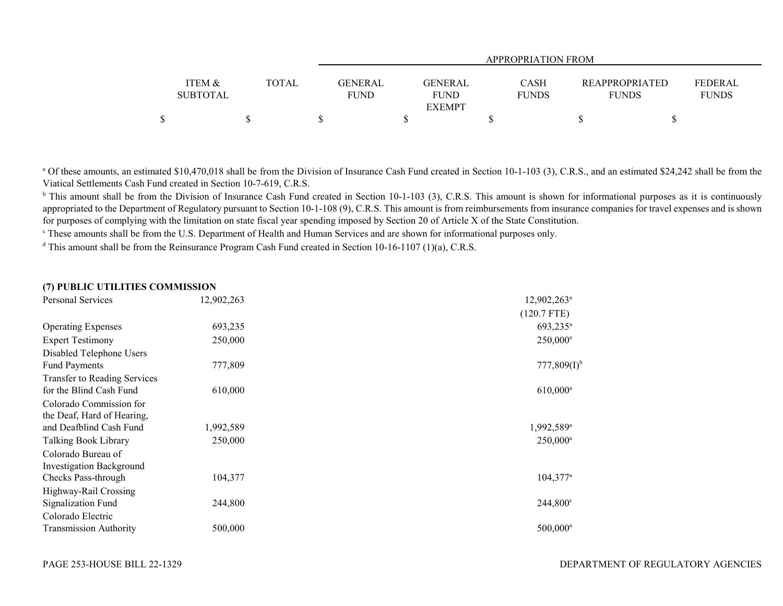|                                      |       | <b>APPROPRIATION FROM</b>                                                |                             |                                       |                                |  |  |  |  |  |  |
|--------------------------------------|-------|--------------------------------------------------------------------------|-----------------------------|---------------------------------------|--------------------------------|--|--|--|--|--|--|
| <b>ITEM &amp;</b><br><b>SUBTOTAL</b> | TOTAL | <b>GENERAL</b><br>GENERAL<br><b>FUND</b><br><b>FUND</b><br><b>EXEMPT</b> | <b>CASH</b><br><b>FUNDS</b> | <b>REAPPROPRIATED</b><br><b>FUNDS</b> | <b>FEDERAL</b><br><b>FUNDS</b> |  |  |  |  |  |  |
|                                      |       |                                                                          |                             |                                       |                                |  |  |  |  |  |  |

<sup>a</sup> Of these amounts, an estimated \$10,470,018 shall be from the Division of Insurance Cash Fund created in Section 10-1-103 (3), C.R.S., and an estimated \$24,242 shall be from the Viatical Settlements Cash Fund created in Section 10-7-619, C.R.S.

<sup>b</sup> This amount shall be from the Division of Insurance Cash Fund created in Section 10-1-103 (3), C.R.S. This amount is shown for informational purposes as it is continuously appropriated to the Department of Regulatory pursuant to Section 10-1-108 (9), C.R.S. This amount is from reimbursements from insurance companies for travel expenses and is shown for purposes of complying with the limitation on state fiscal year spending imposed by Section 20 of Article X of the State Constitution.

<sup>c</sup> These amounts shall be from the U.S. Department of Health and Human Services and are shown for informational purposes only.

<sup>d</sup> This amount shall be from the Reinsurance Program Cash Fund created in Section 10-16-1107 (1)(a), C.R.S.

## **(7) PUBLIC UTILITIES COMMISSION**

| Personal Services                   | 12,902,263 | $12,902,263^{\circ}$   |
|-------------------------------------|------------|------------------------|
|                                     |            | $(120.7$ FTE)          |
| <b>Operating Expenses</b>           | 693,235    | 693,235 <sup>a</sup>   |
| <b>Expert Testimony</b>             | 250,000    | $250,000^{\rm a}$      |
| Disabled Telephone Users            |            |                        |
| <b>Fund Payments</b>                | 777,809    | $777,809(I)^{t}$       |
| <b>Transfer to Reading Services</b> |            |                        |
| for the Blind Cash Fund             | 610,000    | $610,000^{\rm a}$      |
| Colorado Commission for             |            |                        |
| the Deaf, Hard of Hearing,          |            |                        |
| and Deafblind Cash Fund             | 1,992,589  | 1,992,589 <sup>a</sup> |
| Talking Book Library                | 250,000    | $250,000^a$            |
| Colorado Bureau of                  |            |                        |
| <b>Investigation Background</b>     |            |                        |
| Checks Pass-through                 | 104,377    | $104,377^{\circ}$      |
| Highway-Rail Crossing               |            |                        |
| Signalization Fund                  | 244,800    | $244,800^{\circ}$      |
| Colorado Electric                   |            |                        |
| <b>Transmission Authority</b>       | 500,000    | $500,000$ <sup>a</sup> |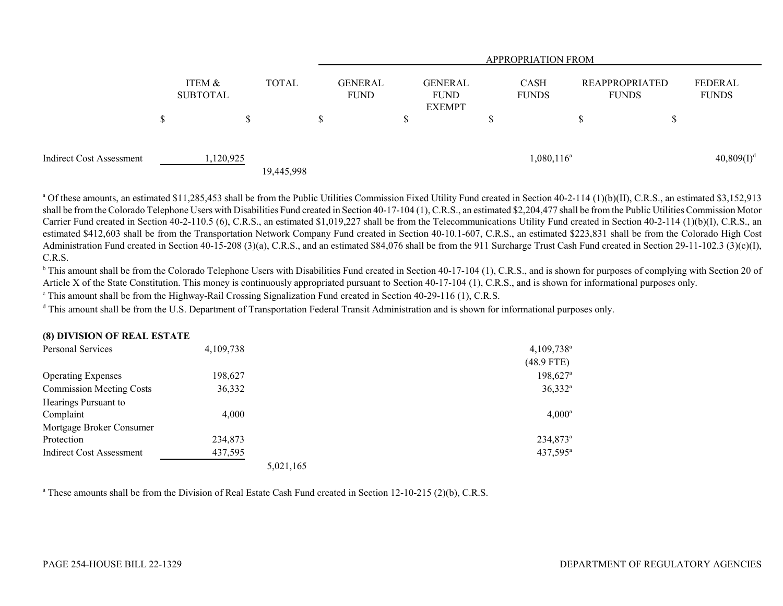|                          |   |                           |              |   | <b>APPROPRIATION FROM</b>     |                                                |    |                             |  |                                |                         |
|--------------------------|---|---------------------------|--------------|---|-------------------------------|------------------------------------------------|----|-----------------------------|--|--------------------------------|-------------------------|
|                          |   | ITEM &<br><b>SUBTOTAL</b> | <b>TOTAL</b> |   | <b>GENERAL</b><br><b>FUND</b> | <b>GENERAL</b><br><b>FUND</b><br><b>EXEMPT</b> |    | <b>CASH</b><br><b>FUNDS</b> |  | REAPPROPRIATED<br><b>FUNDS</b> | FEDERAL<br><b>FUNDS</b> |
|                          | S |                           | \$           | Ъ |                               |                                                | ۵D |                             |  |                                |                         |
| Indirect Cost Assessment |   | 1,120,925                 | 19,445,998   |   |                               |                                                |    | $1,080,116^a$               |  |                                | $40,809(1)^d$           |

<sup>a</sup> Of these amounts, an estimated \$11,285,453 shall be from the Public Utilities Commission Fixed Utility Fund created in Section 40-2-114 (1)(b)(II), C.R.S., an estimated \$3,152,913 shall be from the Colorado Telephone Users with Disabilities Fund created in Section 40-17-104 (1), C.R.S., an estimated \$2,204,477 shall be from the Public Utilities Commission Motor Carrier Fund created in Section 40-2-110.5 (6), C.R.S., an estimated \$1,019,227 shall be from the Telecommunications Utility Fund created in Section 40-2-114 (1)(b)(I), C.R.S., an estimated \$412,603 shall be from the Transportation Network Company Fund created in Section 40-10.1-607, C.R.S., an estimated \$223,831 shall be from the Colorado High Cost Administration Fund created in Section 40-15-208 (3)(a), C.R.S., and an estimated \$84,076 shall be from the 911 Surcharge Trust Cash Fund created in Section 29-11-102.3 (3)(c)(I), C.R.S.

<sup>b</sup> This amount shall be from the Colorado Telephone Users with Disabilities Fund created in Section 40-17-104 (1), C.R.S., and is shown for purposes of complying with Section 20 of Article X of the State Constitution. This money is continuously appropriated pursuant to Section 40-17-104 (1), C.R.S., and is shown for informational purposes only.

<sup>c</sup> This amount shall be from the Highway-Rail Crossing Signalization Fund created in Section 40-29-116 (1), C.R.S.

<sup>d</sup> This amount shall be from the U.S. Department of Transportation Federal Transit Administration and is shown for informational purposes only.

| (0) DIVISION OF REAL ESTATE     |           |           |                        |
|---------------------------------|-----------|-----------|------------------------|
| Personal Services               | 4,109,738 |           | 4,109,738 <sup>a</sup> |
|                                 |           |           | $(48.9$ FTE)           |
| <b>Operating Expenses</b>       | 198,627   |           | $198,627$ <sup>a</sup> |
| <b>Commission Meeting Costs</b> | 36,332    |           | $36,332^a$             |
| Hearings Pursuant to            |           |           |                        |
| Complaint                       | 4,000     |           | $4,000^{\rm a}$        |
| Mortgage Broker Consumer        |           |           |                        |
| Protection                      | 234,873   |           | 234,873 <sup>a</sup>   |
| Indirect Cost Assessment        | 437,595   |           | 437,595 <sup>a</sup>   |
|                                 |           | 5,021,165 |                        |

<sup>a</sup> These amounts shall be from the Division of Real Estate Cash Fund created in Section 12-10-215 (2)(b), C.R.S.

**(8) DIVISION OF REAL ESTATE**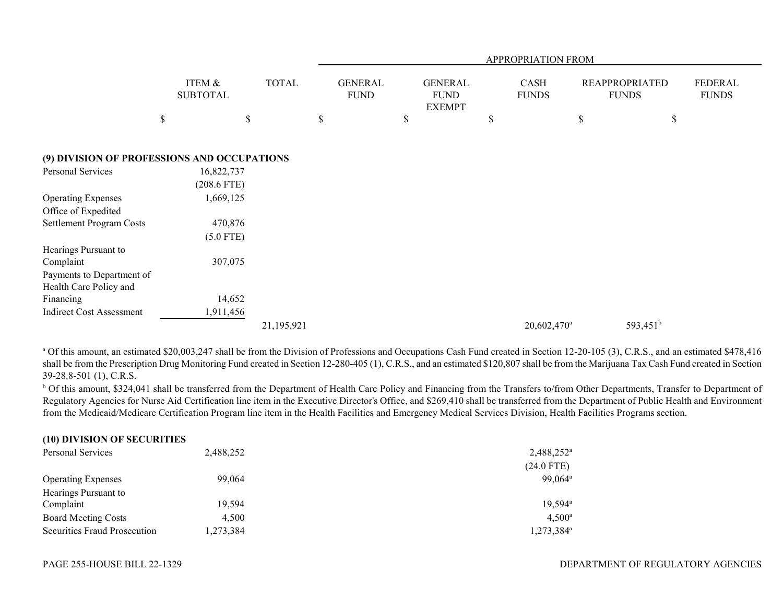|                                                                  |                             |              | APPROPRIATION FROM            |  |                                                |  |                             |                                       |    |                                |  |
|------------------------------------------------------------------|-----------------------------|--------------|-------------------------------|--|------------------------------------------------|--|-----------------------------|---------------------------------------|----|--------------------------------|--|
|                                                                  | ITEM &<br><b>SUBTOTAL</b>   | <b>TOTAL</b> | <b>GENERAL</b><br><b>FUND</b> |  | <b>GENERAL</b><br><b>FUND</b><br><b>EXEMPT</b> |  | <b>CASH</b><br><b>FUNDS</b> | <b>REAPPROPRIATED</b><br><b>FUNDS</b> |    | <b>FEDERAL</b><br><b>FUNDS</b> |  |
|                                                                  | \$                          | $\mathbb S$  | \$                            |  | \$                                             |  | \$                          |                                       | \$ | \$                             |  |
| (9) DIVISION OF PROFESSIONS AND OCCUPATIONS                      |                             |              |                               |  |                                                |  |                             |                                       |    |                                |  |
| Personal Services                                                | 16,822,737<br>$(208.6$ FTE) |              |                               |  |                                                |  |                             |                                       |    |                                |  |
| <b>Operating Expenses</b>                                        | 1,669,125                   |              |                               |  |                                                |  |                             |                                       |    |                                |  |
| Office of Expedited<br><b>Settlement Program Costs</b>           | 470,876                     |              |                               |  |                                                |  |                             |                                       |    |                                |  |
| Hearings Pursuant to                                             | $(5.0$ FTE)                 |              |                               |  |                                                |  |                             |                                       |    |                                |  |
| Complaint<br>Payments to Department of<br>Health Care Policy and | 307,075                     |              |                               |  |                                                |  |                             |                                       |    |                                |  |
| Financing                                                        | 14,652                      |              |                               |  |                                                |  |                             |                                       |    |                                |  |
| <b>Indirect Cost Assessment</b>                                  | 1,911,456                   | 21,195,921   |                               |  |                                                |  |                             | 20,602,470 <sup>a</sup>               |    | 593,451 <sup>b</sup>           |  |

<sup>a</sup> Of this amount, an estimated \$20,003,247 shall be from the Division of Professions and Occupations Cash Fund created in Section 12-20-105 (3), C.R.S., and an estimated \$478,416 shall be from the Prescription Drug Monitoring Fund created in Section 12-280-405 (1), C.R.S., and an estimated \$120,807 shall be from the Marijuana Tax Cash Fund created in Section 39-28.8-501 (1), C.R.S.

<sup>b</sup> Of this amount, \$324,041 shall be transferred from the Department of Health Care Policy and Financing from the Transfers to/from Other Departments, Transfer to Department of Regulatory Agencies for Nurse Aid Certification line item in the Executive Director's Office, and \$269,410 shall be transferred from the Department of Public Health and Environment from the Medicaid/Medicare Certification Program line item in the Health Facilities and Emergency Medical Services Division, Health Facilities Programs section.

| (10) DIVISION OF SECURITIES  |           |                        |
|------------------------------|-----------|------------------------|
| Personal Services            | 2,488,252 | $2,488,252^{\circ}$    |
|                              |           | $(24.0$ FTE)           |
| <b>Operating Expenses</b>    | 99,064    | 99,064 <sup>a</sup>    |
| Hearings Pursuant to         |           |                        |
| Complaint                    | 19.594    | $19.594^{\circ}$       |
| <b>Board Meeting Costs</b>   | 4.500     | $4,500^{\circ}$        |
| Securities Fraud Prosecution | 1,273,384 | 1,273,384 <sup>a</sup> |